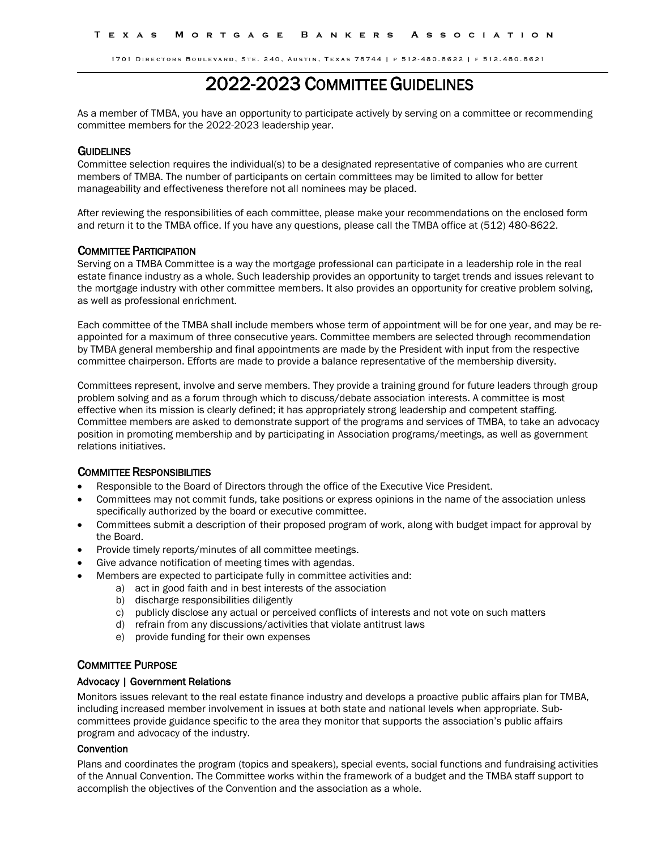# 2022-2023 COMMITTEE GUIDELINES

As a member of TMBA, you have an opportunity to participate actively by serving on a committee or recommending committee members for the 2022-2023 leadership year.

## **GUIDELINES**

Committee selection requires the individual(s) to be a designated representative of companies who are current members of TMBA. The number of participants on certain committees may be limited to allow for better manageability and effectiveness therefore not all nominees may be placed.

After reviewing the responsibilities of each committee, please make your recommendations on the enclosed form and return it to the TMBA office. If you have any questions, please call the TMBA office at (512) 480-8622.

#### COMMITTEE PARTICIPATION

Serving on a TMBA Committee is a way the mortgage professional can participate in a leadership role in the real estate finance industry as a whole. Such leadership provides an opportunity to target trends and issues relevant to the mortgage industry with other committee members. It also provides an opportunity for creative problem solving, as well as professional enrichment.

Each committee of the TMBA shall include members whose term of appointment will be for one year, and may be reappointed for a maximum of three consecutive years. Committee members are selected through recommendation by TMBA general membership and final appointments are made by the President with input from the respective committee chairperson. Efforts are made to provide a balance representative of the membership diversity.

Committees represent, involve and serve members. They provide a training ground for future leaders through group problem solving and as a forum through which to discuss/debate association interests. A committee is most effective when its mission is clearly defined; it has appropriately strong leadership and competent staffing. Committee members are asked to demonstrate support of the programs and services of TMBA, to take an advocacy position in promoting membership and by participating in Association programs/meetings, as well as government relations initiatives.

# COMMITTEE RESPONSIBILITIES

- Responsible to the Board of Directors through the office of the Executive Vice President.
- Committees may not commit funds, take positions or express opinions in the name of the association unless specifically authorized by the board or executive committee.
- Committees submit a description of their proposed program of work, along with budget impact for approval by the Board.
- Provide timely reports/minutes of all committee meetings.
- Give advance notification of meeting times with agendas.
- Members are expected to participate fully in committee activities and:
	- a) act in good faith and in best interests of the association
	- b) discharge responsibilities diligently
	- c) publicly disclose any actual or perceived conflicts of interests and not vote on such matters
	- d) refrain from any discussions/activities that violate antitrust laws
	- e) provide funding for their own expenses

# COMMITTEE PURPOSE

## Advocacy | Government Relations

Monitors issues relevant to the real estate finance industry and develops a proactive public affairs plan for TMBA, including increased member involvement in issues at both state and national levels when appropriate. Subcommittees provide guidance specific to the area they monitor that supports the association's public affairs program and advocacy of the industry.

# **Convention**

Plans and coordinates the program (topics and speakers), special events, social functions and fundraising activities of the Annual Convention. The Committee works within the framework of a budget and the TMBA staff support to accomplish the objectives of the Convention and the association as a whole.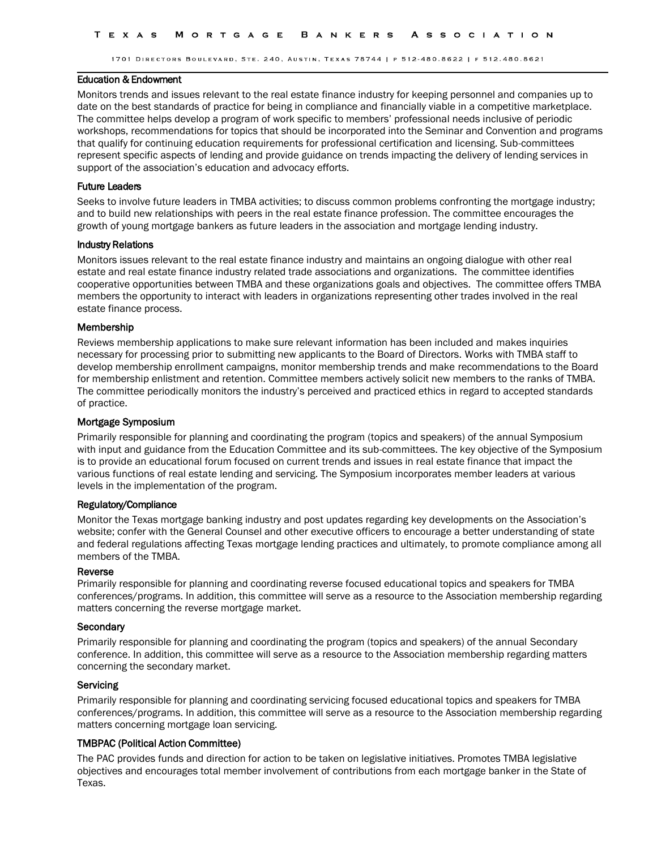#### Education & Endowment

Monitors trends and issues relevant to the real estate finance industry for keeping personnel and companies up to date on the best standards of practice for being in compliance and financially viable in a competitive marketplace. The committee helps develop a program of work specific to members' professional needs inclusive of periodic workshops, recommendations for topics that should be incorporated into the Seminar and Convention and programs that qualify for continuing education requirements for professional certification and licensing. Sub-committees represent specific aspects of lending and provide guidance on trends impacting the delivery of lending services in support of the association's education and advocacy efforts.

## Future Leaders

Seeks to involve future leaders in TMBA activities; to discuss common problems confronting the mortgage industry; and to build new relationships with peers in the real estate finance profession. The committee encourages the growth of young mortgage bankers as future leaders in the association and mortgage lending industry.

## Industry Relations

Monitors issues relevant to the real estate finance industry and maintains an ongoing dialogue with other real estate and real estate finance industry related trade associations and organizations. The committee identifies cooperative opportunities between TMBA and these organizations goals and objectives. The committee offers TMBA members the opportunity to interact with leaders in organizations representing other trades involved in the real estate finance process.

## Membership

Reviews membership applications to make sure relevant information has been included and makes inquiries necessary for processing prior to submitting new applicants to the Board of Directors. Works with TMBA staff to develop membership enrollment campaigns, monitor membership trends and make recommendations to the Board for membership enlistment and retention. Committee members actively solicit new members to the ranks of TMBA. The committee periodically monitors the industry's perceived and practiced ethics in regard to accepted standards of practice.

## Mortgage Symposium

Primarily responsible for planning and coordinating the program (topics and speakers) of the annual Symposium with input and guidance from the Education Committee and its sub-committees. The key objective of the Symposium is to provide an educational forum focused on current trends and issues in real estate finance that impact the various functions of real estate lending and servicing. The Symposium incorporates member leaders at various levels in the implementation of the program.

## Regulatory/Compliance

Monitor the Texas mortgage banking industry and post updates regarding key developments on the Association's website; confer with the General Counsel and other executive officers to encourage a better understanding of state and federal regulations affecting Texas mortgage lending practices and ultimately, to promote compliance among all members of the TMBA.

## Reverse

Primarily responsible for planning and coordinating reverse focused educational topics and speakers for TMBA conferences/programs. In addition, this committee will serve as a resource to the Association membership regarding matters concerning the reverse mortgage market.

## **Secondary**

Primarily responsible for planning and coordinating the program (topics and speakers) of the annual Secondary conference. In addition, this committee will serve as a resource to the Association membership regarding matters concerning the secondary market.

## Servicing

Primarily responsible for planning and coordinating servicing focused educational topics and speakers for TMBA conferences/programs. In addition, this committee will serve as a resource to the Association membership regarding matters concerning mortgage loan servicing.

## TMBPAC (Political Action Committee)

The PAC provides funds and direction for action to be taken on legislative initiatives. Promotes TMBA legislative objectives and encourages total member involvement of contributions from each mortgage banker in the State of Texas.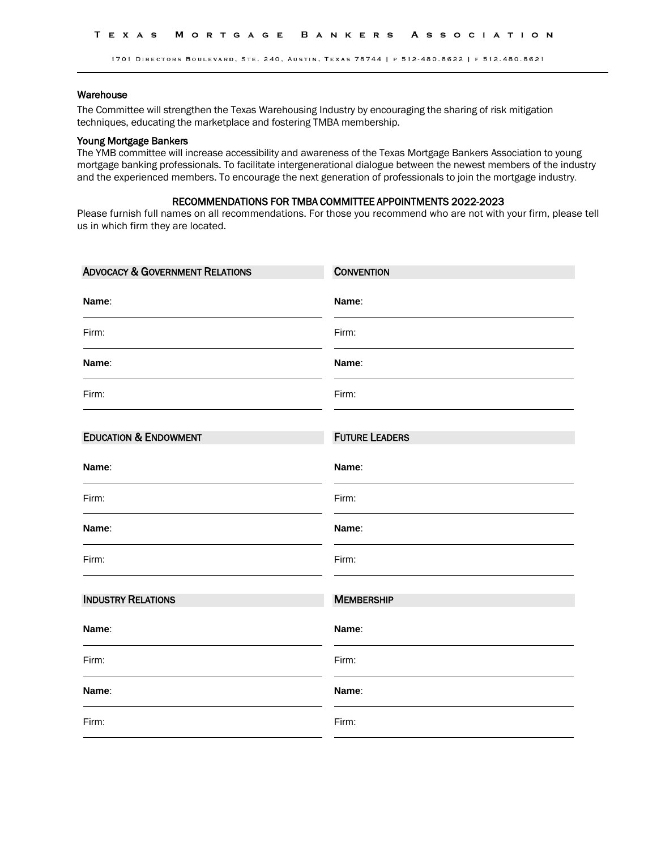## Warehouse

The Committee will strengthen the Texas Warehousing Industry by encouraging the sharing of risk mitigation techniques, educating the marketplace and fostering TMBA membership.

## Young Mortgage Bankers

The YMB committee will increase accessibility and awareness of the Texas Mortgage Bankers Association to young mortgage banking professionals. To facilitate intergenerational dialogue between the newest members of the industry and the experienced members. To encourage the next generation of professionals to join the mortgage industry.

# RECOMMENDATIONS FOR TMBA COMMITTEE APPOINTMENTS 2022-2023

Please furnish full names on all recommendations. For those you recommend who are not with your firm, please tell us in which firm they are located.

| <b>ADVOCACY &amp; GOVERNMENT RELATIONS</b> | <b>CONVENTION</b>     |
|--------------------------------------------|-----------------------|
| Name:                                      | Name:                 |
| Firm:                                      | Firm:                 |
| Name:                                      | Name:                 |
| Firm:                                      | Firm:                 |
| <b>EDUCATION &amp; ENDOWMENT</b>           | <b>FUTURE LEADERS</b> |
| Name:                                      | Name:                 |
| Firm:                                      | Firm:                 |
| Name:                                      | Name:                 |
| Firm:                                      | Firm:                 |
| <b>INDUSTRY RELATIONS</b>                  | <b>MEMBERSHIP</b>     |
| Name:                                      | Name:                 |
| Firm:                                      | Firm:                 |
| Name:                                      | Name:                 |
| Firm:                                      | Firm:                 |